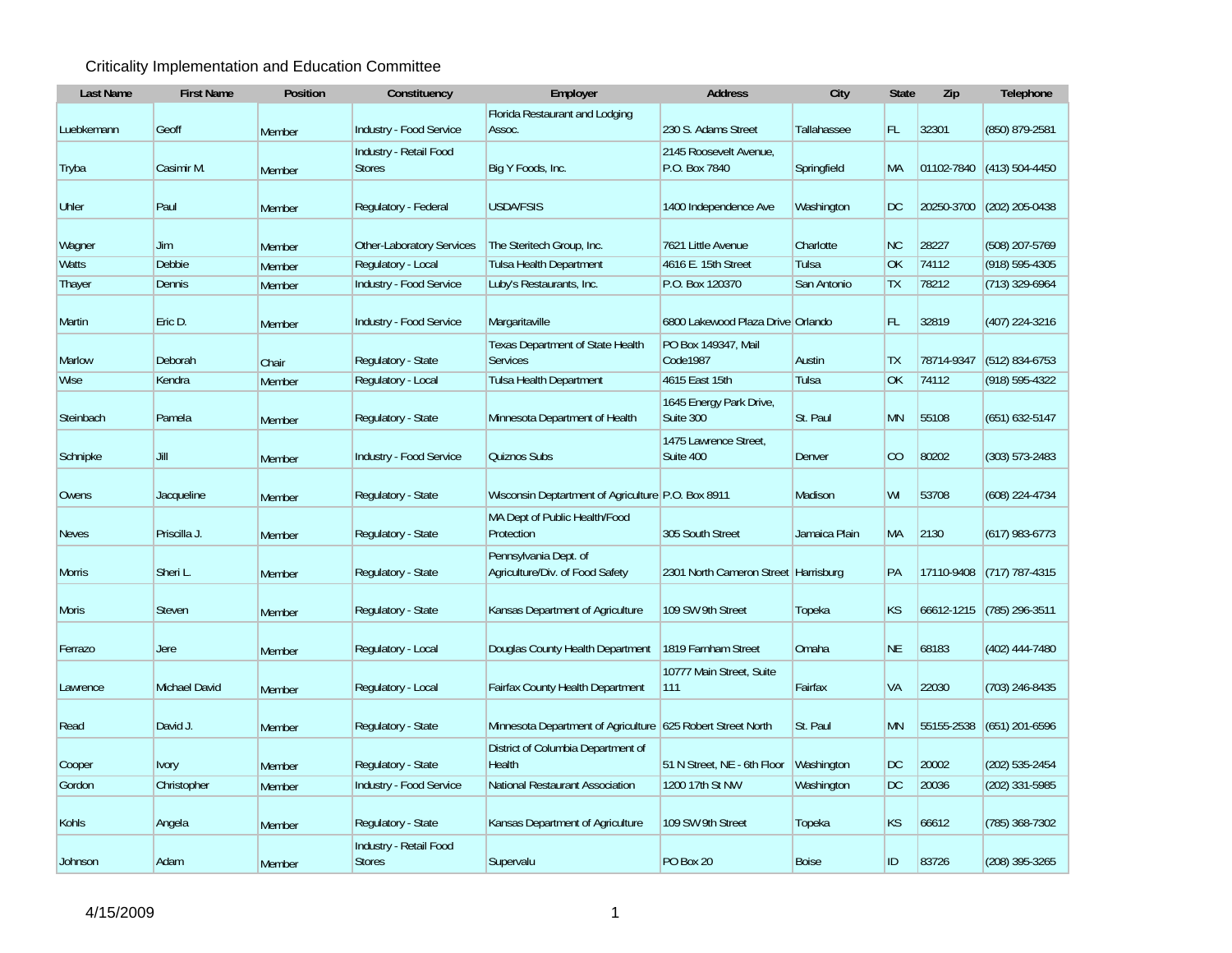| <b>First Name</b>    | <b>Position</b>               | Constituency                                   | Employer                                                                                                                        | <b>Address</b>                                                                                                                                 | City                                                                                                                                                                                                                                                             |                                                                                                                    | Zip                                           | Telephone                       |
|----------------------|-------------------------------|------------------------------------------------|---------------------------------------------------------------------------------------------------------------------------------|------------------------------------------------------------------------------------------------------------------------------------------------|------------------------------------------------------------------------------------------------------------------------------------------------------------------------------------------------------------------------------------------------------------------|--------------------------------------------------------------------------------------------------------------------|-----------------------------------------------|---------------------------------|
|                      |                               |                                                | Florida Restaurant and Lodging                                                                                                  |                                                                                                                                                |                                                                                                                                                                                                                                                                  |                                                                                                                    |                                               | (850) 879-2581                  |
|                      |                               |                                                |                                                                                                                                 |                                                                                                                                                |                                                                                                                                                                                                                                                                  |                                                                                                                    |                                               |                                 |
| Casimir M.           | Member                        | <b>Stores</b>                                  | Big Y Foods, Inc.                                                                                                               | P.O. Box 7840                                                                                                                                  | Springfield                                                                                                                                                                                                                                                      | MA                                                                                                                 | 01102-7840                                    | $(413) 504 - 4450$              |
|                      |                               |                                                |                                                                                                                                 |                                                                                                                                                |                                                                                                                                                                                                                                                                  |                                                                                                                    |                                               |                                 |
| Paul                 | Member                        | Regulatory - Federal                           | USDA/FSIS                                                                                                                       | 1400 Independence Ave                                                                                                                          | Washington                                                                                                                                                                                                                                                       | DC.                                                                                                                | 20250-3700                                    | (202) 205-0438                  |
| Jim                  | Member                        | Other-Laboratory Services                      | The Steritech Group, Inc.                                                                                                       | 7621 Little Avenue                                                                                                                             | Charlotte                                                                                                                                                                                                                                                        | N <sub>C</sub>                                                                                                     | 28227                                         | (508) 207-5769                  |
| Debbie               | Member                        | Regulatory - Local                             | <b>Tulsa Health Department</b>                                                                                                  | 4616 E. 15th Street                                                                                                                            | Tulsa                                                                                                                                                                                                                                                            | OK                                                                                                                 | 74112                                         | $(918) 595 - 4305$              |
| Dennis               | Member                        | Industry - Food Service                        | Luby's Restaurants, Inc.                                                                                                        | P.O. Box 120370                                                                                                                                | San Antonio                                                                                                                                                                                                                                                      | ТX                                                                                                                 | 78212                                         | (713) 329-6964                  |
| Eric D.              |                               |                                                |                                                                                                                                 |                                                                                                                                                |                                                                                                                                                                                                                                                                  |                                                                                                                    |                                               | (407) 224-3216                  |
|                      |                               |                                                |                                                                                                                                 |                                                                                                                                                |                                                                                                                                                                                                                                                                  |                                                                                                                    |                                               |                                 |
| Deborah              | Chair                         | Regulatory - State                             | <b>Services</b>                                                                                                                 | Code1987                                                                                                                                       | Austin                                                                                                                                                                                                                                                           | TX                                                                                                                 | 78714-9347                                    | $(512) 834 - 6753$              |
| Kendra               | Member                        | Regulatory - Local                             | Tulsa Health Department                                                                                                         | 4615 East 15th                                                                                                                                 | Tulsa                                                                                                                                                                                                                                                            | OK                                                                                                                 | 74112                                         | (918) 595-4322                  |
|                      |                               |                                                |                                                                                                                                 | 1645 Energy Park Drive,                                                                                                                        |                                                                                                                                                                                                                                                                  |                                                                                                                    |                                               |                                 |
| Pamela               | Member                        | Regulatory - State                             | Minnesota Department of Health                                                                                                  | Suite 300                                                                                                                                      | St. Paul                                                                                                                                                                                                                                                         | <b>MN</b>                                                                                                          | 55108                                         | (651) 632-5147                  |
| Jill                 | Member                        | Industry - Food Service                        | Quiznos Subs                                                                                                                    | 1475 Lawrence Street,<br>Suite 400                                                                                                             | Denver                                                                                                                                                                                                                                                           | CO                                                                                                                 | 80202                                         | (303) 573-2483                  |
| Jacqueline           |                               | Regulatory - State                             |                                                                                                                                 |                                                                                                                                                | Madison                                                                                                                                                                                                                                                          | WI                                                                                                                 | 53708                                         | (608) 224-4734                  |
|                      |                               |                                                | MA Dept of Public Health/Food                                                                                                   |                                                                                                                                                |                                                                                                                                                                                                                                                                  |                                                                                                                    |                                               |                                 |
|                      |                               |                                                |                                                                                                                                 |                                                                                                                                                |                                                                                                                                                                                                                                                                  |                                                                                                                    |                                               | (617) 983-6773                  |
| Sheri L.             | Member                        | Regulatory - State                             | Agriculture/Div. of Food Safety                                                                                                 |                                                                                                                                                |                                                                                                                                                                                                                                                                  | PA                                                                                                                 | 17110-9408                                    | $(717) 787 - 4315$              |
| <b>Steven</b>        | Member                        | Regulatory - State                             | Kansas Department of Agriculture                                                                                                | 109 SW 9th Street                                                                                                                              | Topeka                                                                                                                                                                                                                                                           | KS                                                                                                                 | 66612-1215                                    | $(785)$ 296-3511                |
|                      |                               |                                                |                                                                                                                                 |                                                                                                                                                |                                                                                                                                                                                                                                                                  |                                                                                                                    |                                               |                                 |
|                      |                               |                                                |                                                                                                                                 |                                                                                                                                                |                                                                                                                                                                                                                                                                  |                                                                                                                    |                                               | (402) 444-7480                  |
| <b>Michael David</b> | Member                        | Regulatory - Local                             | Fairfax County Health Department                                                                                                | 111                                                                                                                                            | Fairfax                                                                                                                                                                                                                                                          | VA                                                                                                                 | 22030                                         | (703) 246-8435                  |
| David J.             | Member                        | Regulatory - State                             |                                                                                                                                 |                                                                                                                                                | St. Paul                                                                                                                                                                                                                                                         | <b>MN</b>                                                                                                          | 55155-2538                                    | $(651)$ 201-6596                |
|                      |                               |                                                | District of Columbia Department of                                                                                              |                                                                                                                                                |                                                                                                                                                                                                                                                                  |                                                                                                                    |                                               |                                 |
| <b>Ivory</b>         | Member                        | Regulatory - State                             | <b>Health</b>                                                                                                                   | 51 N Street, NE - 6th Floor                                                                                                                    | Washington                                                                                                                                                                                                                                                       | <b>DC</b>                                                                                                          | 20002                                         | (202) 535-2454                  |
| Christopher          | Member                        | <b>Industry - Food Service</b>                 | National Restaurant Association                                                                                                 | 1200 17th St NW                                                                                                                                | Washington                                                                                                                                                                                                                                                       | DC                                                                                                                 | 20036                                         | (202) 331-5985                  |
| Angela               | Member                        | Regulatory - State                             | Kansas Department of Agriculture                                                                                                | 109 SW 9th Street                                                                                                                              | Topeka                                                                                                                                                                                                                                                           | KS                                                                                                                 | 66612                                         | (785) 368-7302                  |
| Adam                 | Member                        | Industry - Retail Food<br><b>Stores</b>        | Supervalu                                                                                                                       | PO Box 20                                                                                                                                      | <b>Boise</b>                                                                                                                                                                                                                                                     | ID                                                                                                                 | 83726                                         | (208) 395-3265                  |
|                      | Geoff<br>Priscilla J.<br>Jere | Member<br>Member<br>Member<br>Member<br>Member | <b>Industry - Food Service</b><br>Industry - Retail Food<br>Industry - Food Service<br>Regulatory - State<br>Regulatory - Local | Assoc.<br>Margaritaville<br><b>Texas Department of State Health</b><br>Protection<br>Pennsylvania Dept. of<br>Douglas County Health Department | 230 S. Adams Street<br>2145 Roosevelt Avenue,<br>PO Box 149347, Mail<br>Wisconsin Deptartment of Agriculture P.O. Box 8911<br>305 South Street<br>1819 Farnham Street<br>10777 Main Street, Suite<br>Minnesota Department of Agriculture 625 Robert Street North | Tallahassee<br>6800 Lakewood Plaza Drive Orlando<br>Jamaica Plain<br>2301 North Cameron Street Harrisburg<br>Omaha | <b>State</b><br>FL.<br>FL.<br>MA<br><b>NE</b> | 32301<br>32819<br>2130<br>68183 |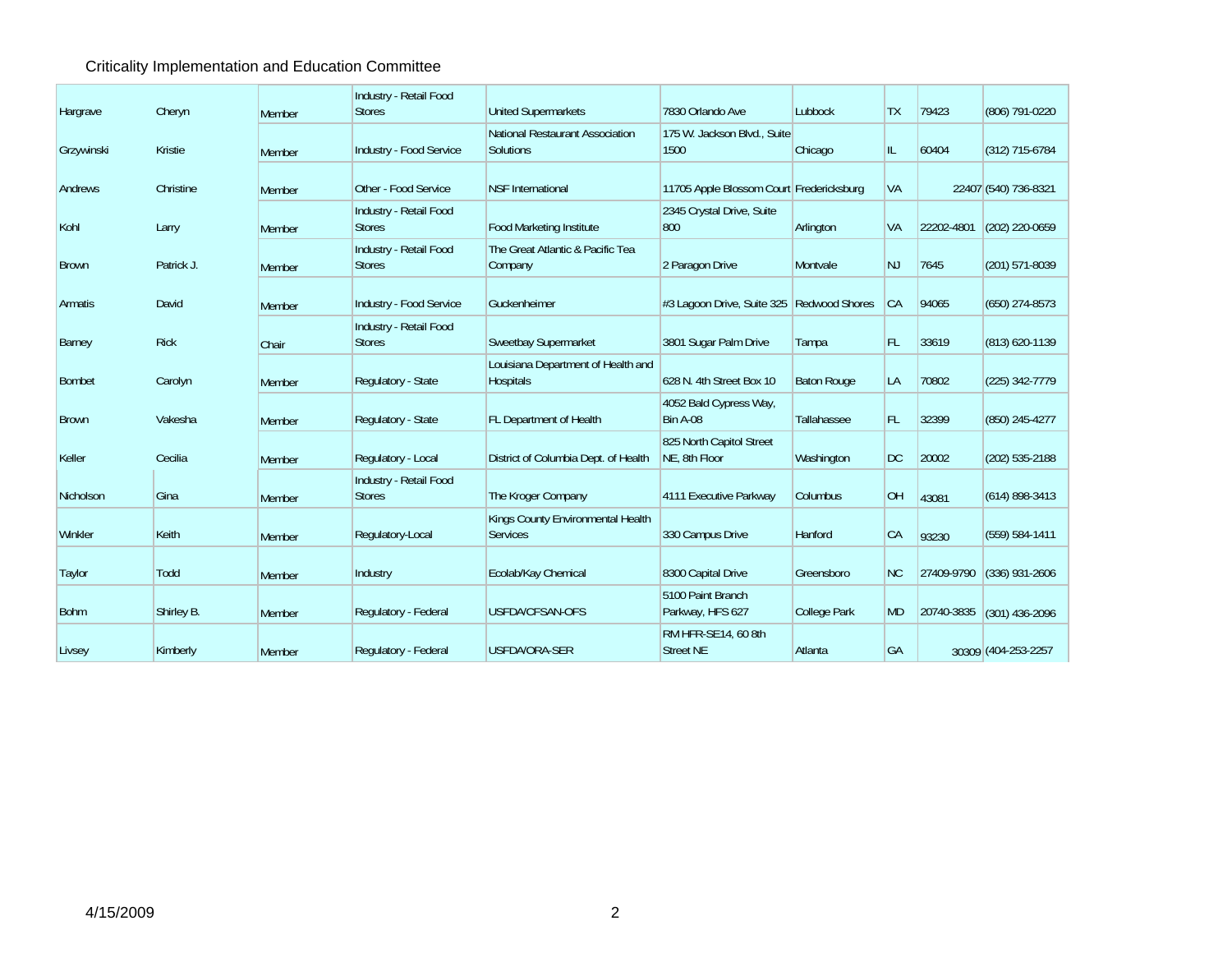| Hargrave      | Cheryn         | Member | Industry - Retail Food<br><b>Stores</b> | <b>United Supermarkets</b>                             | 7830 Orlando Ave                          | <b>Lubbock</b>      | <b>TX</b>      | 79423      | (806) 791-0220       |
|---------------|----------------|--------|-----------------------------------------|--------------------------------------------------------|-------------------------------------------|---------------------|----------------|------------|----------------------|
| Grzywinski    | <b>Kristie</b> | Member | Industry - Food Service                 | National Restaurant Association<br>Solutions           | 175 W. Jackson Blvd., Suite<br>1500       | Chicago             | IL.            | 60404      | (312) 715-6784       |
| Andrews       | Christine      | Member | Other - Food Service                    | <b>NSF</b> International                               | 11705 Apple Blossom Court Fredericksburg  |                     | <b>VA</b>      |            | 22407 (540) 736-8321 |
| Kohl          | Larry          | Member | Industry - Retail Food<br><b>Stores</b> | <b>Food Marketing Institute</b>                        | 2345 Crystal Drive, Suite<br>800          | Arlington           | <b>VA</b>      | 22202-4801 | (202) 220-0659       |
| <b>Brown</b>  | Patrick J.     | Member | Industry - Retail Food<br><b>Stores</b> | The Great Atlantic & Pacific Tea<br>Company            | 2 Paragon Drive                           | Montvale            | NJ             | 7645       | (201) 571-8039       |
| Armatis       | David          | Member | Industry - Food Service                 | Guckenheimer                                           | #3 Lagoon Drive, Suite 325                | Redwood Shores      | <b>CA</b>      | 94065      | $(650)$ 274-8573     |
| Barney        | <b>Rick</b>    | Chair  | Industry - Retail Food<br><b>Stores</b> | Sweetbay Supermarket                                   | 3801 Sugar Palm Drive                     | Tampa               | <b>FL</b>      | 33619      | (813) 620-1139       |
| <b>Bombet</b> | Carolyn        | Member | Regulatory - State                      | Louisiana Department of Health and<br><b>Hospitals</b> | 628 N. 4th Street Box 10                  | <b>Baton Rouge</b>  | LA             | 70802      | $(225)$ 342-7779     |
| <b>Brown</b>  | Vakesha        | Member | Regulatory - State                      | <b>FL Department of Health</b>                         | 4052 Bald Cypress Way,<br><b>Bin A-08</b> | Tallahassee         | FL.            | 32399      | (850) 245-4277       |
| Keller        | Cecilia        | Member | Regulatory - Local                      | District of Columbia Dept. of Health                   | 825 North Capitol Street<br>NE, 8th Floor | Washington          | D <sub>C</sub> | 20002      | (202) 535-2188       |
| Nicholson     | Gina           | Member | Industry - Retail Food<br><b>Stores</b> | The Kroger Company                                     | 4111 Executive Parkway                    | <b>Columbus</b>     | OH             | 43081      | $(614) 898 - 3413$   |
| Winkler       | <b>Keith</b>   | Member | Regulatory-Local                        | Kings County Environmental Health<br>Services          | 330 Campus Drive                          | Hanford             | <b>CA</b>      | 93230      | $(559) 584 - 1411$   |
| Taylor        | Todd           | Member | Industry                                | Ecolab/Kay Chemical                                    | 8300 Capital Drive                        | Greensboro          | <b>NC</b>      | 27409-9790 | (336) 931-2606       |
| <b>Bohm</b>   | Shirley B.     | Member | Regulatory - Federal                    | <b>USFDA/CFSAN-OFS</b>                                 | 5100 Paint Branch<br>Parkway, HFS 627     | <b>College Park</b> | <b>MD</b>      | 20740-3835 | (301) 436-2096       |
| Livsey        | Kimberly       | Member | Regulatory - Federal                    | USFDA/ORA-SER                                          | RM HFR-SE14, 60 8th<br><b>Street NE</b>   | Atlanta             | <b>GA</b>      |            | 30309 (404-253-2257  |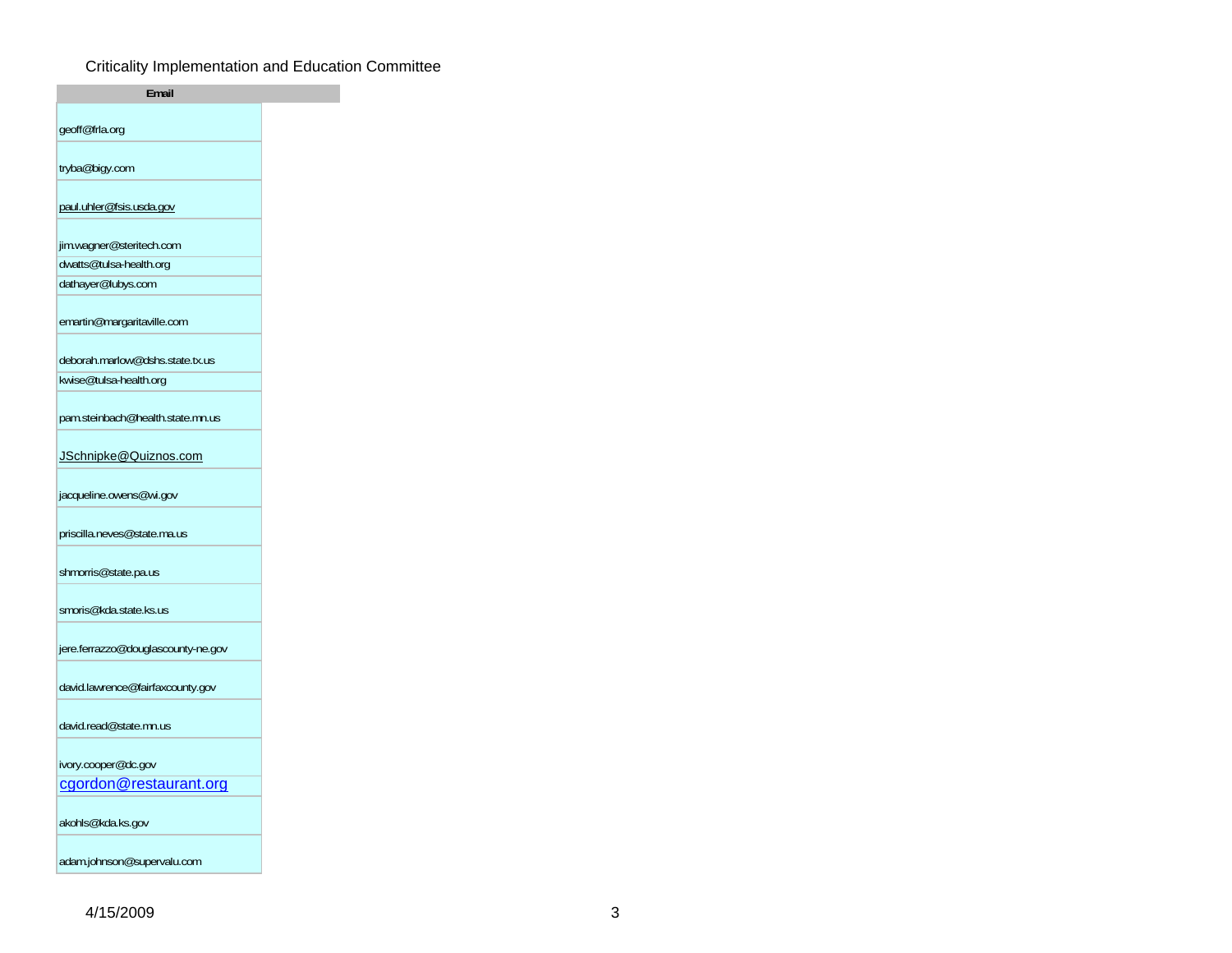**Email** geoff@frla.org tryba@bigy.com [paul.uhler@fsis.usda.gov](mailto:paul.uhler@fsis.usda.gov) jim.wagner@steritech.com dwatts@tulsa-health.org dathayer@lubys.com emartin@margaritaville.com deborah.marlow@dshs.state.tx.uskwise@tulsa-health.org pam.steinbach@health.state.mn.us [JSchnipke@Quiznos.com](mailto:JSchnipke@Quiznos.com) jacqueline.owens@wi.gov priscilla.neves@state.ma.us shmorris@state.pa.us smoris@kda.state.ks.us jere.ferrazzo@douglascounty-ne.gov david.lawrence@fairfaxcounty.gov david.read@state.mn.usivory.cooper@dc.gov [cgordon@restaurant.org](mailto:cgordon@restaurant.org) [akohls@kda.ks.gov](mailto:akohls@kda.ks.gov)

adam.johnson@supervalu.com